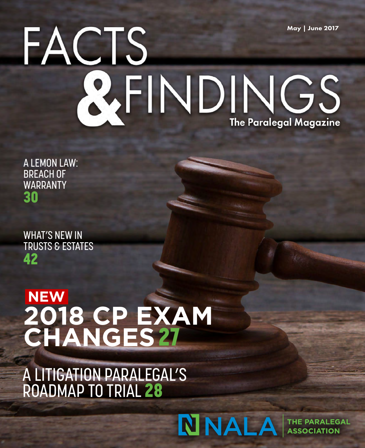## May | June 2017 EACTS RFINDINGS **The Paralegal Magazine**

A LEMON LAW: BREACH OF WARRANTY 30

WHAT'S NEW IN TRUSTS & ESTATES 42

#### **NEW 2018 CP EXAM CHANGES**27

A LITIGATION PARALEGAL'S ROADMAP TO TRIAL 28

### NNALA

**THE PARALEGAL ASSOCIATION**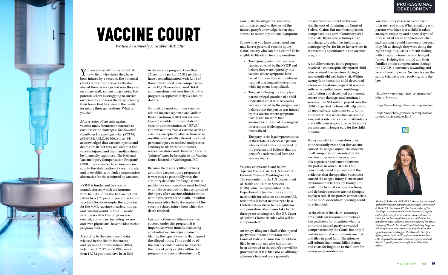in the vaccine program. Over that 27-year time period, 15,312 petitions have been adjudicated, with 5,143 of those determined to be compensable, while 10,169 were dismissed. Total compensation paid over the life of the program is approximately \$3.5 billion dollars.

Some of the most common vaccinerelated injuries reported are Guillain-Barre Syndrome (GBS) and various types of shoulder injuries related to vaccine administration, or "SIRVA." Other reactions from a vaccine, such as seizures, encephalopathy, or transverse myelitis, are typically referred to a local personal injury or medical malpractice attorney to file within the client's respective state court. However, vaccine "injuries" *must* be brought to the Vaccine Court, located in Washington, D.C.

Currently, there are fifteen vaccines<sup>3</sup> covered under this program. It is imperative, when initially evaluating a potential vaccine injury claim, to identify the type of vaccine that caused the alleged injury. Time could be of the essence and, in order to preserve the injured party's rights within the program, you must determine the *»*

 $\sum$  ou receive a call from a potential  $\mathbf \mathbf 1$  new client who states they have been injured by a vaccine. The potential client claims they received a flu shot almost three years ago and now they can no longer walk, can no longer work. The potential client is struggling to survive on disability and is on the verge of losing their home that has been in the family for nearly three generations. What do you do?

> Because there is very little publicity about the vaccine injury program, it is very easy to potentially miss the statutory deadline for filing a claim. A petition for compensation must be filed within three years of the first symptom of the injury after vaccine administration, within two years of the death, or within four years after the first symptom of the vaccine-related injury from which the death resulted.



After a series of lawsuits against vaccine manufacturers threatened to create vaccine shortages, *The National Childhood Vaccine Injury Act1 (NCVIA) of 1986* (42 U.S.C. §§ 300aa-1 to -34) acknowledged that vaccine injuries and deaths are in fact very real and that the vaccine injured and their families should be financially supported. The National Vaccine Injury Compensation Program2 (NVICP) was created to ensure vaccine supply, the stabilization of vaccine costs, and to establish a no-fault compensation alternative for those injured by vaccines.

NVICP is funded not by vaccine manufacturers, which are immune from liability under the *Vaccine Act*, but rather by a \$.75 per antigen excise tax on vaccines. So, for example, the excise tax for the MMR vaccine (measles, mumps and rubella) would be \$2.25. Twentyseven years after this program was created, many of us, including lawyers and even physicians, have no idea such a program exists.

According to the most recent data released by the Health Resources and Services Administration (HRSA) in January 1, 2017, since 1988, more than 17,732 petitions have been filed

# VACCINE COURT

*Written by Kimberly A. Grabbe, ACP, FRP*

exact date the alleged vaccine was administered and, to the best of the injured party's knowledge, when they started to notice any unusual symptoms.

So now that you have determined you may have a potential vaccine injury claim, exactly who can file a claim? To be eligible to file claim for compensation:

- **•** The injured party must receive a vaccine covered by the NVICP and believe they were injured by this vaccine where symptoms have lasted for more than six months or resulted in a surgical intervention while inpatient hospitalized.
- **•** The party alleging the injury is a parent or legal guardian of a child or disabled adult who received a vaccine covered by the program and believes that the person was injured by this vaccine where symptoms have lasted for more than six months or resulted in a surgical intervention while inpatient hospitalized.
- **•** The party is the legal representative of the estate of a deceased person who received a vaccine covered by the program and believes that the person's death resulted from the vaccine injury.

#### PROFESSIONAL DEVELOPMENT

Vaccine claims are heard before "Special Masters" in the U.S. Court of Federal Claims in Washington, D.C. The respondent is the U.S. Department of Health and Human Services (HHS), which is represented by the Department of Justice. It is a court of nationwide jurisdiction and covers U.S. territories. It is not necessary to be a United States citizen to be eligible for compensation. Most cases take two to three years to complete. The U.S. Court of Federal Claims decides who will be compensated.

Attorneys filing on behalf of the injured party must obtain admission to the Court of Federal Claims Bar. A petition filed by an attorney who has not yet been admitted to the court's bar will be processed as if it is filed *pro se*. Although attorney's fees and costs generally

are recoverable under the *Vaccine Act*, the cost of obtaining the Court of Federal Claims Bar membership is not compensable as part of attorney's fees and costs. By statute, attorneys may not charge any other fee, including a contingency fee, for his or her services in representing a petitioner in the vaccine program.

A notable recovery in the program involved a catastrophically injured child who received five vaccines during a two-month-old well baby visit. Within twenty-four hours, the child developed a fever and sustained repeated seizures, suffered a cardiac arrest, multi-organ dysfunction and developed permanent, severe brain damage, and continued seizures. The \$61 million payout over the child's expected lifetime will help pay for all medical care, attendant care, home modifications, a wheelchair-accessible van, and residential care with attendants and skilled nursing care, once the child's parents can no longer care for the child at home.

Being awarded compensation does not necessarily mean that the vaccine caused the alleged injury. The majority of all compensation awarded by the vaccine program comes as a result of a negotiated settlement between the parties in which HHS has not concluded, based upon review of the evidence, that the specified vaccine(s) caused the alleged injury. Genetic and environmental factors are thought to contribute to most vaccine reactions, and defective vaccines are not thought to play a role. If the parties cannot settle, one or more evidentiary hearings could

be scheduled.

At the close of the claim, attorneys are eligible for reasonable attorney's fees and costs for litigation, whether or not the injured party is awarded compensation by the Court, but only if certain minimal requirements are met and filed in good faith. The attorney will submit their actual billable time and costs for litigation to the Court for review and consideration.

Vaccine injury cases each come with their own sad story. When speaking with parents who have lost a child, it takes strength, empathy, and a special type of finesse. Most are in complete disbelief such an injury could even occur because they felt as though they were doing the right thing. It is just as difficult dealing with an adult whose life has changed forever. Helping the injured and their families obtain compensation through the NVICP is extremely rewarding and very interesting work. No case is ever the same. Science is ever-evolving, as is the law.

*Kimberly A. Grabbe, ACP, FRP, is the senior paralegal within the vaccine department at Maglio Christopher & Toale P.A., Sarasota, FL. She is a member of the Paralegal Association of Florida Suncoast Chapter, editor of the chapter's newsletter, and editorial cochair for the Paralegal Association of Florida, Inc., newsletter. Miss Grabbe is also a member of the State College of Florida Paralegal/Legal Assisting Program Advisory Committee. Prior to joining the firm, she spent ten years working for the Sarasota Sheriff 's office, primarily in public safety communications (911 dispatch) as a supervisor, emergency medical dispatch quality assurance officer, and training officer.*

1 http://www.nvic.org/injury-compensation/ origihanlaw.aspx

2 https://www.hrsa.gov/vaccinecompensation/

3 https://www.hrsa.gov/vaccinecompensation/ coveredvaccines/index.html